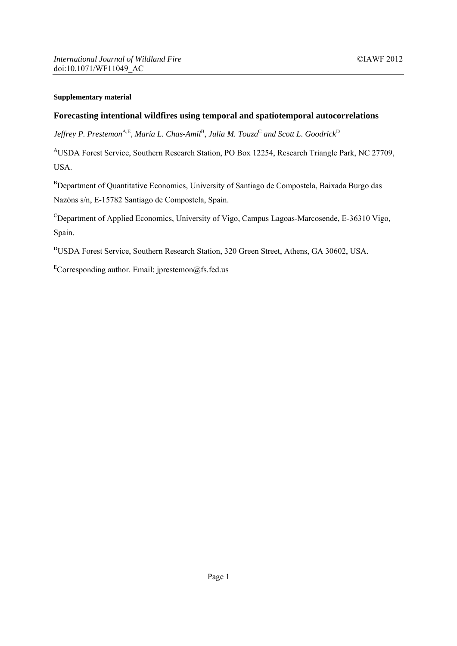# **Supplementary material**

### **Forecasting intentional wildfires using temporal and spatiotemporal autocorrelations**

*Jeffrey P. Prestemon*A,E, *María L. Chas-Amil*<sup>B</sup> , *Julia M. Touza*<sup>C</sup> *and Scott L. Goodrick*<sup>D</sup>

AUSDA Forest Service, Southern Research Station, PO Box 12254, Research Triangle Park, NC 27709, USA.

<sup>B</sup>Department of Quantitative Economics, University of Santiago de Compostela, Baixada Burgo das Nazóns s/n, E-15782 Santiago de Compostela, Spain.

<sup>C</sup>Department of Applied Economics, University of Vigo, Campus Lagoas-Marcosende, E-36310 Vigo, Spain.

DUSDA Forest Service, Southern Research Station, 320 Green Street, Athens, GA 30602, USA.

ECorresponding author. Email: jprestemon@fs.fed.us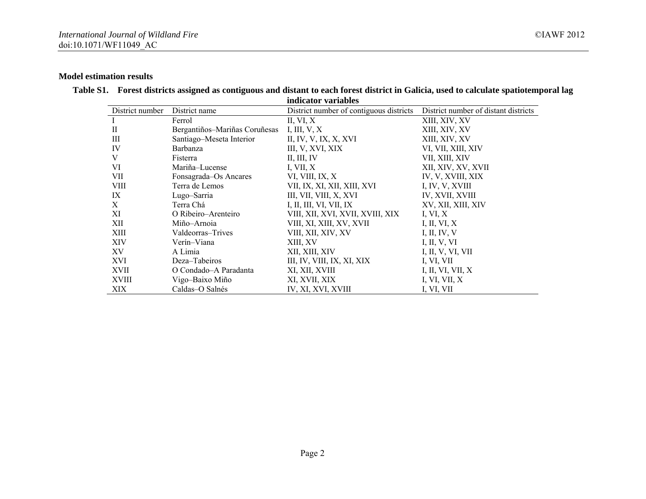# **Model estimation results**

|                 |                               | indicator variables                     |                                      |
|-----------------|-------------------------------|-----------------------------------------|--------------------------------------|
| District number | District name                 | District number of contiguous districts | District number of distant districts |
|                 | Ferrol                        | II, VI, $X$                             | XIII, XIV, XV                        |
| П               | Bergantiños-Mariñas Coruñesas | I, III, $V, X$                          | XIII, XIV, XV                        |
| III             | Santiago-Meseta Interior      | II, IV, V, IX, X, XVI                   | XIII, XIV, XV                        |
| IV              | <b>Barbanza</b>               | III, V. XVI, XIX                        | VI, VII, XIII, XIV                   |
| V               | Fisterra                      | II, III, IV                             | VII, XIII, XIV                       |
| VI              | Mariña-Lucense                | I, VII, $X$                             | XII, XIV, XV, XVII                   |
| VII             | Fonsagrada–Os Ancares         | VI, VIII, IX, X                         | IV, V, XVIII, XIX                    |
| VШ              | Terra de Lemos                | VII, IX, XI, XII, XIII, XVI             | I, IV, V, XVIII                      |
| IX              | Lugo-Sarria                   | III, VII, VIII, X, XVI                  | IV, XVII, XVIII                      |
| X               | Terra Chá                     | I, II, III, VI, VII, IX                 | XV, XII, XIII, XIV                   |
| ΧI              | O Ribeiro–Arenteiro           | VIII, XII, XVI, XVII, XVIII, XIX        | I, VI, X                             |
| XII             | Miño-Arnoia                   | VIII, XI, XIII, XV, XVII                | I, II, VI, $X$                       |
| XШ              | Valdeorras–Trives             | VIII, XII, XIV, XV                      | I, II, IV, V                         |
| XIV             | Verín-Viana                   | XIII, XV                                | I, II, V, VI                         |
| XV.             | A Limia                       | XII, XIII, XIV                          | I, II, V, VI, VII                    |
| XVI             | Deza-Tabeiros                 | III, IV, VIII, IX, XI, XIX              | I, VI, VII                           |
| XVII            | O Condado-A Paradanta         | XI, XII, XVIII                          | I, II, VI, VII, $X$                  |
| XVIII           | Vigo-Baixo Miño               | XI, XVII, XIX                           | I, VI, VII, $X$                      |
| XIX             | Caldas–O Salnés               | IV, XI, XVI, XVIII                      | I, VI, VII                           |

#### **Table S1. Forest districts assigned as contiguous and distant to each forest district in Galicia, used to calculate spatiotemporal lag**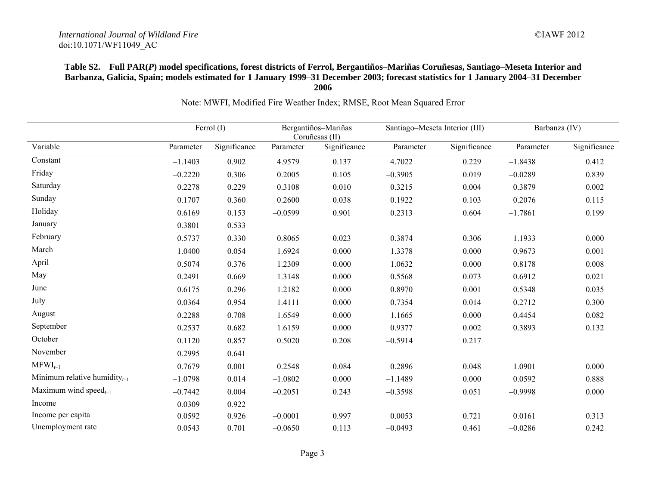#### **Table S2. Full PAR(***P***) model specifications, forest districts of Ferrol, Bergantiños–Mariñas Coruñesas, Santiago–Meseta Interior and Barbanza, Galicia, Spain; models estimated for 1 January 1999–31 December 2003; forecast statistics for 1 January 2004–31 December 2006**

|                                    |           | Ferrol (I)   | Bergantiños-Mariñas<br>Coruñesas (II) |              | Santiago-Meseta Interior (III) |              | Barbanza (IV) |              |
|------------------------------------|-----------|--------------|---------------------------------------|--------------|--------------------------------|--------------|---------------|--------------|
| Variable                           | Parameter | Significance | Parameter                             | Significance | Parameter                      | Significance | Parameter     | Significance |
| Constant                           | $-1.1403$ | 0.902        | 4.9579                                | 0.137        | 4.7022                         | 0.229        | $-1.8438$     | 0.412        |
| Friday                             | $-0.2220$ | 0.306        | 0.2005                                | 0.105        | $-0.3905$                      | 0.019        | $-0.0289$     | 0.839        |
| Saturday                           | 0.2278    | 0.229        | 0.3108                                | 0.010        | 0.3215                         | 0.004        | 0.3879        | 0.002        |
| Sunday                             | 0.1707    | 0.360        | 0.2600                                | 0.038        | 0.1922                         | 0.103        | 0.2076        | 0.115        |
| Holiday                            | 0.6169    | 0.153        | $-0.0599$                             | 0.901        | 0.2313                         | 0.604        | $-1.7861$     | 0.199        |
| January                            | 0.3801    | 0.533        |                                       |              |                                |              |               |              |
| February                           | 0.5737    | 0.330        | 0.8065                                | 0.023        | 0.3874                         | 0.306        | 1.1933        | 0.000        |
| March                              | 1.0400    | 0.054        | 1.6924                                | 0.000        | 1.3378                         | 0.000        | 0.9673        | 0.001        |
| April                              | 0.5074    | 0.376        | 1.2309                                | 0.000        | 1.0632                         | 0.000        | 0.8178        | 0.008        |
| May                                | 0.2491    | 0.669        | 1.3148                                | 0.000        | 0.5568                         | 0.073        | 0.6912        | 0.021        |
| June                               | 0.6175    | 0.296        | 1.2182                                | 0.000        | 0.8970                         | 0.001        | 0.5348        | 0.035        |
| July                               | $-0.0364$ | 0.954        | 1.4111                                | 0.000        | 0.7354                         | 0.014        | 0.2712        | 0.300        |
| August                             | 0.2288    | 0.708        | 1.6549                                | 0.000        | 1.1665                         | 0.000        | 0.4454        | 0.082        |
| September                          | 0.2537    | 0.682        | 1.6159                                | 0.000        | 0.9377                         | 0.002        | 0.3893        | 0.132        |
| October                            | 0.1120    | 0.857        | 0.5020                                | 0.208        | $-0.5914$                      | 0.217        |               |              |
| November                           | 0.2995    | 0.641        |                                       |              |                                |              |               |              |
| $MFWI_{t-1}$                       | 0.7679    | 0.001        | 0.2548                                | 0.084        | 0.2896                         | 0.048        | 1.0901        | 0.000        |
| Minimum relative humidity $_{t-1}$ | $-1.0798$ | 0.014        | $-1.0802$                             | 0.000        | $-1.1489$                      | 0.000        | 0.0592        | 0.888        |
| Maximum wind speed $_{t-1}$        | $-0.7442$ | 0.004        | $-0.2051$                             | 0.243        | $-0.3598$                      | 0.051        | $-0.9998$     | 0.000        |
| Income                             | $-0.0309$ | 0.922        |                                       |              |                                |              |               |              |
| Income per capita                  | 0.0592    | 0.926        | $-0.0001$                             | 0.997        | 0.0053                         | 0.721        | 0.0161        | 0.313        |
| Unemployment rate                  | 0.0543    | 0.701        | $-0.0650$                             | 0.113        | $-0.0493$                      | 0.461        | $-0.0286$     | 0.242        |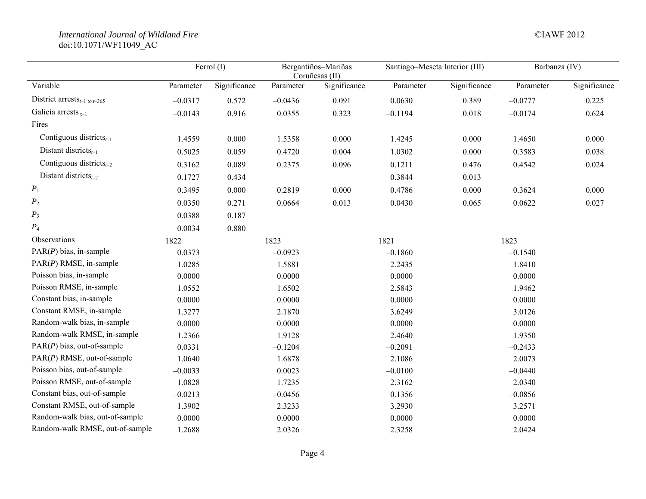#### *International Journal of Wildland Fire* ©IAWF 2012 doi:10.1071/WF11049\_AC

|                                                                    |           | Ferrol (I)   |           | Bergantiños-Mariñas<br>Coruñesas (II) | Santiago-Meseta Interior (III) |              | Barbanza (IV) |              |
|--------------------------------------------------------------------|-----------|--------------|-----------|---------------------------------------|--------------------------------|--------------|---------------|--------------|
| Variable                                                           | Parameter | Significance | Parameter | Significance                          | Parameter                      | Significance | Parameter     | Significance |
| District arrests <sub><math>t-1</math> to <math>t-365</math></sub> | $-0.0317$ | 0.572        | $-0.0436$ | 0.091                                 | 0.0630                         | 0.389        | $-0.0777$     | 0.225        |
| Galicia arrests $_{\tau-1}$                                        | $-0.0143$ | 0.916        | 0.0355    | 0.323                                 | $-0.1194$                      | 0.018        | $-0.0174$     | 0.624        |
| Fires                                                              |           |              |           |                                       |                                |              |               |              |
| Contiguous districts $_{t-1}$                                      | 1.4559    | 0.000        | 1.5358    | 0.000                                 | 1.4245                         | 0.000        | 1.4650        | 0.000        |
| Distant districts $_{t-1}$                                         | 0.5025    | 0.059        | 0.4720    | 0.004                                 | 1.0302                         | 0.000        | 0.3583        | 0.038        |
| Contiguous districts $_{t-2}$                                      | 0.3162    | 0.089        | 0.2375    | 0.096                                 | 0.1211                         | 0.476        | 0.4542        | 0.024        |
| Distant districts $_{t-2}$                                         | 0.1727    | 0.434        |           |                                       | 0.3844                         | 0.013        |               |              |
| $P_1$                                                              | 0.3495    | 0.000        | 0.2819    | 0.000                                 | 0.4786                         | 0.000        | 0.3624        | 0.000        |
| $P_2$                                                              | 0.0350    | 0.271        | 0.0664    | 0.013                                 | 0.0430                         | 0.065        | 0.0622        | 0.027        |
| $P_3$                                                              | 0.0388    | 0.187        |           |                                       |                                |              |               |              |
| $P_4$                                                              | 0.0034    | 0.880        |           |                                       |                                |              |               |              |
| Observations                                                       | 1822      |              | 1823      |                                       | 1821                           |              | 1823          |              |
| $PAR(P)$ bias, in-sample                                           | 0.0373    |              | $-0.0923$ |                                       | $-0.1860$                      |              | $-0.1540$     |              |
| $PAR(P)$ RMSE, in-sample                                           | 1.0285    |              | 1.5881    |                                       | 2.2435                         |              | 1.8410        |              |
| Poisson bias, in-sample                                            | 0.0000    |              | 0.0000    |                                       | 0.0000                         |              | 0.0000        |              |
| Poisson RMSE, in-sample                                            | 1.0552    |              | 1.6502    |                                       | 2.5843                         |              | 1.9462        |              |
| Constant bias, in-sample                                           | 0.0000    |              | 0.0000    |                                       | 0.0000                         |              | 0.0000        |              |
| Constant RMSE, in-sample                                           | 1.3277    |              | 2.1870    |                                       | 3.6249                         |              | 3.0126        |              |
| Random-walk bias, in-sample                                        | 0.0000    |              | 0.0000    |                                       | 0.0000                         |              | 0.0000        |              |
| Random-walk RMSE, in-sample                                        | 1.2366    |              | 1.9128    |                                       | 2.4640                         |              | 1.9350        |              |
| $PAR(P)$ bias, out-of-sample                                       | 0.0331    |              | $-0.1204$ |                                       | $-0.2091$                      |              | $-0.2433$     |              |
| $PAR(P)$ RMSE, out-of-sample                                       | 1.0640    |              | 1.6878    |                                       | 2.1086                         |              | 2.0073        |              |
| Poisson bias, out-of-sample                                        | $-0.0033$ |              | 0.0023    |                                       | $-0.0100$                      |              | $-0.0440$     |              |
| Poisson RMSE, out-of-sample                                        | 1.0828    |              | 1.7235    |                                       | 2.3162                         |              | 2.0340        |              |
| Constant bias, out-of-sample                                       | $-0.0213$ |              | $-0.0456$ |                                       | 0.1356                         |              | $-0.0856$     |              |
| Constant RMSE, out-of-sample                                       | 1.3902    |              | 2.3233    |                                       | 3.2930                         |              | 3.2571        |              |
| Random-walk bias, out-of-sample                                    | 0.0000    |              | 0.0000    |                                       | 0.0000                         |              | 0.0000        |              |
| Random-walk RMSE, out-of-sample                                    | 1.2688    |              | 2.0326    |                                       | 2.3258                         |              | 2.0424        |              |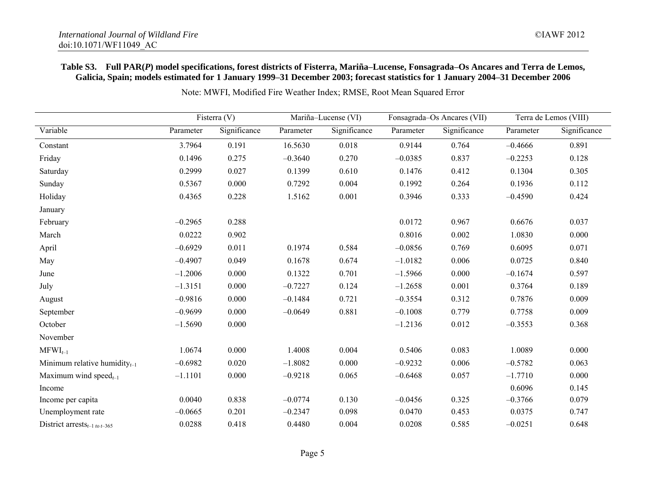# **Table S3. Full PAR(***P***) model specifications, forest districts of Fisterra, Mariña–Lucense, Fonsagrada–Os Ancares and Terra de Lemos, Galicia, Spain; models estimated for 1 January 1999–31 December 2003; forecast statistics for 1 January 2004–31 December 2006**

|                                          |           | Fisterra (V) |           | Mariña-Lucense (VI) |           | Fonsagrada-Os Ancares (VII) |           | Terra de Lemos (VIII) |
|------------------------------------------|-----------|--------------|-----------|---------------------|-----------|-----------------------------|-----------|-----------------------|
| Variable                                 | Parameter | Significance | Parameter | Significance        | Parameter | Significance                | Parameter | Significance          |
| Constant                                 | 3.7964    | 0.191        | 16.5630   | 0.018               | 0.9144    | 0.764                       | $-0.4666$ | 0.891                 |
| Friday                                   | 0.1496    | 0.275        | $-0.3640$ | 0.270               | $-0.0385$ | 0.837                       | $-0.2253$ | 0.128                 |
| Saturday                                 | 0.2999    | 0.027        | 0.1399    | 0.610               | 0.1476    | 0.412                       | 0.1304    | 0.305                 |
| Sunday                                   | 0.5367    | 0.000        | 0.7292    | 0.004               | 0.1992    | 0.264                       | 0.1936    | 0.112                 |
| Holiday                                  | 0.4365    | 0.228        | 1.5162    | 0.001               | 0.3946    | 0.333                       | $-0.4590$ | 0.424                 |
| January                                  |           |              |           |                     |           |                             |           |                       |
| February                                 | $-0.2965$ | 0.288        |           |                     | 0.0172    | 0.967                       | 0.6676    | 0.037                 |
| March                                    | 0.0222    | 0.902        |           |                     | 0.8016    | 0.002                       | 1.0830    | 0.000                 |
| April                                    | $-0.6929$ | 0.011        | 0.1974    | 0.584               | $-0.0856$ | 0.769                       | 0.6095    | 0.071                 |
| May                                      | $-0.4907$ | 0.049        | 0.1678    | 0.674               | $-1.0182$ | 0.006                       | 0.0725    | 0.840                 |
| June                                     | $-1.2006$ | 0.000        | 0.1322    | 0.701               | $-1.5966$ | 0.000                       | $-0.1674$ | 0.597                 |
| July                                     | $-1.3151$ | 0.000        | $-0.7227$ | 0.124               | $-1.2658$ | 0.001                       | 0.3764    | 0.189                 |
| August                                   | $-0.9816$ | 0.000        | $-0.1484$ | 0.721               | $-0.3554$ | 0.312                       | 0.7876    | 0.009                 |
| September                                | $-0.9699$ | 0.000        | $-0.0649$ | 0.881               | $-0.1008$ | 0.779                       | 0.7758    | 0.009                 |
| October                                  | $-1.5690$ | 0.000        |           |                     | $-1.2136$ | 0.012                       | $-0.3553$ | 0.368                 |
| November                                 |           |              |           |                     |           |                             |           |                       |
| $MFWI_{t-1}$                             | 1.0674    | 0.000        | 1.4008    | 0.004               | 0.5406    | 0.083                       | 1.0089    | 0.000                 |
| Minimum relative humidity $_{t-1}$       | $-0.6982$ | 0.020        | $-1.8082$ | 0.000               | $-0.9232$ | 0.006                       | $-0.5782$ | 0.063                 |
| Maximum wind speed $_{t-1}$              | $-1.1101$ | 0.000        | $-0.9218$ | 0.065               | $-0.6468$ | 0.057                       | $-1.7710$ | 0.000                 |
| Income                                   |           |              |           |                     |           |                             | 0.6096    | 0.145                 |
| Income per capita                        | 0.0040    | 0.838        | $-0.0774$ | 0.130               | $-0.0456$ | 0.325                       | $-0.3766$ | 0.079                 |
| Unemployment rate                        | $-0.0665$ | 0.201        | $-0.2347$ | 0.098               | 0.0470    | 0.453                       | 0.0375    | 0.747                 |
| District $arrests_{t-1\text{ to }t-365}$ | 0.0288    | 0.418        | 0.4480    | 0.004               | 0.0208    | 0.585                       | $-0.0251$ | 0.648                 |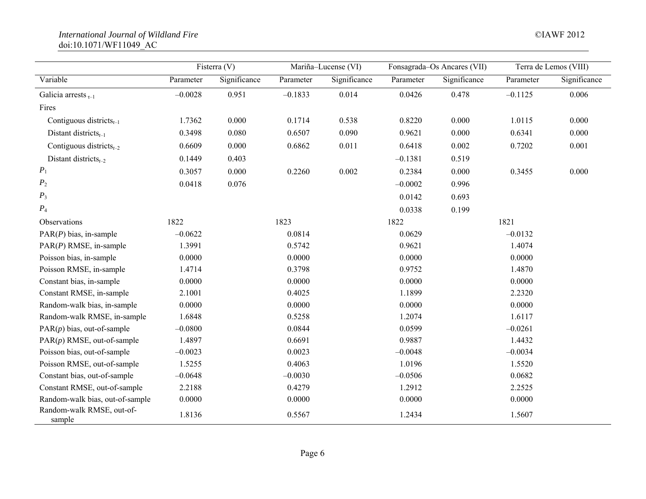#### *International Journal of Wildland Fire* ©IAWF 2012 doi:10.1071/WF11049\_AC

|                                     |           | Fisterra (V) |           | Mariña-Lucense (VI) |           | Fonsagrada-Os Ancares (VII) | Terra de Lemos (VIII) |              |
|-------------------------------------|-----------|--------------|-----------|---------------------|-----------|-----------------------------|-----------------------|--------------|
| Variable                            | Parameter | Significance | Parameter | Significance        | Parameter | Significance                | Parameter             | Significance |
| Galicia arrests $_{\tau-1}$         | $-0.0028$ | 0.951        | $-0.1833$ | 0.014               | 0.0426    | 0.478                       | $-0.1125$             | 0.006        |
| Fires                               |           |              |           |                     |           |                             |                       |              |
| Contiguous districts $_{t-1}$       | 1.7362    | 0.000        | 0.1714    | 0.538               | 0.8220    | 0.000                       | 1.0115                | 0.000        |
| Distant districts $_{t-1}$          | 0.3498    | 0.080        | 0.6507    | 0.090               | 0.9621    | 0.000                       | 0.6341                | 0.000        |
| Contiguous districts $_{t-2}$       | 0.6609    | 0.000        | 0.6862    | 0.011               | 0.6418    | 0.002                       | 0.7202                | 0.001        |
| Distant districts $_{t-2}$          | 0.1449    | 0.403        |           |                     | $-0.1381$ | 0.519                       |                       |              |
| $P_1$                               | 0.3057    | 0.000        | 0.2260    | 0.002               | 0.2384    | 0.000                       | 0.3455                | 0.000        |
| P <sub>2</sub>                      | 0.0418    | 0.076        |           |                     | $-0.0002$ | 0.996                       |                       |              |
| $P_3$                               |           |              |           |                     | 0.0142    | 0.693                       |                       |              |
| $P_4$                               |           |              |           |                     | 0.0338    | 0.199                       |                       |              |
| Observations                        | 1822      |              | 1823      |                     | 1822      |                             | 1821                  |              |
| $PAR(P)$ bias, in-sample            | $-0.0622$ |              | 0.0814    |                     | 0.0629    |                             | $-0.0132$             |              |
| $PAR(P)$ RMSE, in-sample            | 1.3991    |              | 0.5742    |                     | 0.9621    |                             | 1.4074                |              |
| Poisson bias, in-sample             | 0.0000    |              | 0.0000    |                     | 0.0000    |                             | 0.0000                |              |
| Poisson RMSE, in-sample             | 1.4714    |              | 0.3798    |                     | 0.9752    |                             | 1.4870                |              |
| Constant bias, in-sample            | 0.0000    |              | 0.0000    |                     | 0.0000    |                             | 0.0000                |              |
| Constant RMSE, in-sample            | 2.1001    |              | 0.4025    |                     | 1.1899    |                             | 2.2320                |              |
| Random-walk bias, in-sample         | 0.0000    |              | 0.0000    |                     | 0.0000    |                             | 0.0000                |              |
| Random-walk RMSE, in-sample         | 1.6848    |              | 0.5258    |                     | 1.2074    |                             | 1.6117                |              |
| $PAR(p)$ bias, out-of-sample        | $-0.0800$ |              | 0.0844    |                     | 0.0599    |                             | $-0.0261$             |              |
| $PAR(p)$ RMSE, out-of-sample        | 1.4897    |              | 0.6691    |                     | 0.9887    |                             | 1.4432                |              |
| Poisson bias, out-of-sample         | $-0.0023$ |              | 0.0023    |                     | $-0.0048$ |                             | $-0.0034$             |              |
| Poisson RMSE, out-of-sample         | 1.5255    |              | 0.4063    |                     | 1.0196    |                             | 1.5520                |              |
| Constant bias, out-of-sample        | $-0.0648$ |              | $-0.0030$ |                     | $-0.0506$ |                             | 0.0682                |              |
| Constant RMSE, out-of-sample        | 2.2188    |              | 0.4279    |                     | 1.2912    |                             | 2.2525                |              |
| Random-walk bias, out-of-sample     | 0.0000    |              | 0.0000    |                     | 0.0000    |                             | 0.0000                |              |
| Random-walk RMSE, out-of-<br>sample | 1.8136    |              | 0.5567    |                     | 1.2434    |                             | 1.5607                |              |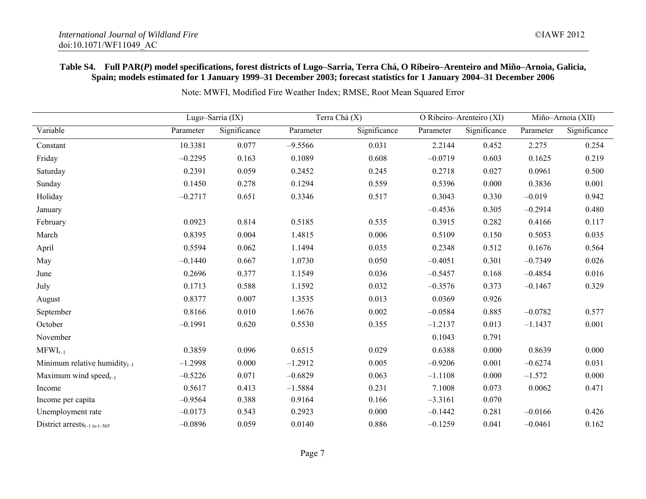## **Table S4. Full PAR(***P***) model specifications, forest districts of Lugo–Sarria, Terra Chá, O Ribeiro–Arenteiro and Miño–Arnoia, Galicia, Spain; models estimated for 1 January 1999–31 December 2003; forecast statistics for 1 January 2004–31 December 2006**

|                                     |           | Lugo-Sarria (IX) |           | Terra Chá (X) |           | O Ribeiro-Arenteiro (XI) | Miño-Arnoia (XII) |              |
|-------------------------------------|-----------|------------------|-----------|---------------|-----------|--------------------------|-------------------|--------------|
| Variable                            | Parameter | Significance     | Parameter | Significance  | Parameter | Significance             | Parameter         | Significance |
| Constant                            | 10.3381   | 0.077            | $-9.5566$ | 0.031         | 2.2144    | 0.452                    | 2.275             | 0.254        |
| Friday                              | $-0.2295$ | 0.163            | 0.1089    | 0.608         | $-0.0719$ | 0.603                    | 0.1625            | 0.219        |
| Saturday                            | 0.2391    | 0.059            | 0.2452    | 0.245         | 0.2718    | 0.027                    | 0.0961            | 0.500        |
| Sunday                              | 0.1450    | 0.278            | 0.1294    | 0.559         | 0.5396    | 0.000                    | 0.3836            | 0.001        |
| Holiday                             | $-0.2717$ | 0.651            | 0.3346    | 0.517         | 0.3043    | 0.330                    | $-0.019$          | 0.942        |
| January                             |           |                  |           |               | $-0.4536$ | 0.305                    | $-0.2914$         | 0.480        |
| February                            | 0.0923    | 0.814            | 0.5185    | 0.535         | 0.3915    | 0.282                    | 0.4166            | 0.117        |
| March                               | 0.8395    | 0.004            | 1.4815    | 0.006         | 0.5109    | 0.150                    | 0.5053            | 0.035        |
| April                               | 0.5594    | 0.062            | 1.1494    | 0.035         | 0.2348    | 0.512                    | 0.1676            | 0.564        |
| May                                 | $-0.1440$ | 0.667            | 1.0730    | 0.050         | $-0.4051$ | 0.301                    | $-0.7349$         | 0.026        |
| June                                | 0.2696    | 0.377            | 1.1549    | 0.036         | $-0.5457$ | 0.168                    | $-0.4854$         | 0.016        |
| July                                | 0.1713    | 0.588            | 1.1592    | 0.032         | $-0.3576$ | 0.373                    | $-0.1467$         | 0.329        |
| August                              | 0.8377    | 0.007            | 1.3535    | 0.013         | 0.0369    | 0.926                    |                   |              |
| September                           | 0.8166    | 0.010            | 1.6676    | 0.002         | $-0.0584$ | 0.885                    | $-0.0782$         | 0.577        |
| October                             | $-0.1991$ | 0.620            | 0.5530    | 0.355         | $-1.2137$ | 0.013                    | $-1.1437$         | 0.001        |
| November                            |           |                  |           |               | 0.1043    | 0.791                    |                   |              |
| $MFWI_{t-1}$                        | 0.3859    | 0.096            | 0.6515    | 0.029         | 0.6388    | 0.000                    | 0.8639            | 0.000        |
| Minimum relative humidity $_{t-1}$  | $-1.2998$ | 0.000            | $-1.2912$ | 0.005         | $-0.9206$ | 0.001                    | $-0.6274$         | 0.031        |
| Maximum wind speed $_{t-1}$         | $-0.5226$ | 0.071            | $-0.6829$ | 0.063         | $-1.1108$ | 0.000                    | $-1.572$          | 0.000        |
| Income                              | 0.5617    | 0.413            | $-1.5884$ | 0.231         | 7.1008    | 0.073                    | 0.0062            | 0.471        |
| Income per capita                   | $-0.9564$ | 0.388            | 0.9164    | 0.166         | $-3.3161$ | 0.070                    |                   |              |
| Unemployment rate                   | $-0.0173$ | 0.543            | 0.2923    | 0.000         | $-0.1442$ | 0.281                    | $-0.0166$         | 0.426        |
| District $arrests_{t-1\ to\ t-365}$ | $-0.0896$ | 0.059            | 0.0140    | 0.886         | $-0.1259$ | 0.041                    | $-0.0461$         | 0.162        |

Note: MWFI, Modified Fire Weather Index; RMSE, Root Mean Squared Error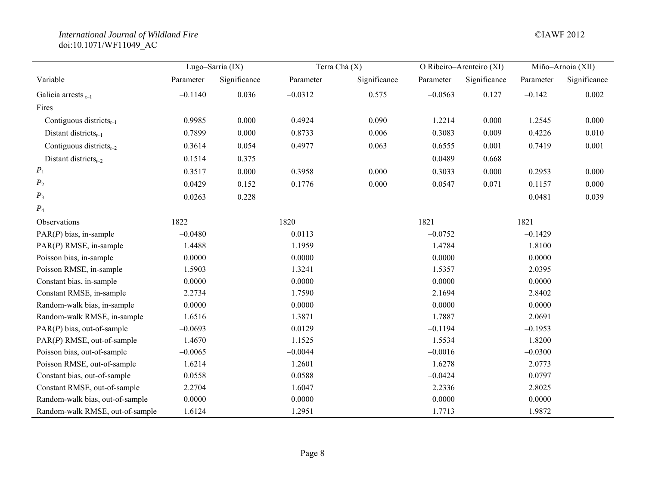#### *International Journal of Wildland Fire* ©IAWF 2012 doi:10.1071/WF11049\_AC

|                                 |           | Lugo-Sarria (IX) |           | Terra Chá (X) |           | O Ribeiro-Arenteiro (XI) | Miño-Arnoia (XII) |              |
|---------------------------------|-----------|------------------|-----------|---------------|-----------|--------------------------|-------------------|--------------|
| Variable                        | Parameter | Significance     | Parameter | Significance  | Parameter | Significance             | Parameter         | Significance |
| Galicia arrests $_{\tau-1}$     | $-0.1140$ | 0.036            | $-0.0312$ | 0.575         | $-0.0563$ | 0.127                    | $-0.142$          | 0.002        |
| Fires                           |           |                  |           |               |           |                          |                   |              |
| Contiguous districts $_{t-1}$   | 0.9985    | 0.000            | 0.4924    | 0.090         | 1.2214    | 0.000                    | 1.2545            | 0.000        |
| Distant districts $_{t-1}$      | 0.7899    | 0.000            | 0.8733    | 0.006         | 0.3083    | 0.009                    | 0.4226            | 0.010        |
| Contiguous districts $_{t-2}$   | 0.3614    | 0.054            | 0.4977    | 0.063         | 0.6555    | 0.001                    | 0.7419            | 0.001        |
| Distant districts $_{t-2}$      | 0.1514    | 0.375            |           |               | 0.0489    | 0.668                    |                   |              |
| $P_1$                           | 0.3517    | 0.000            | 0.3958    | 0.000         | 0.3033    | 0.000                    | 0.2953            | 0.000        |
| P <sub>2</sub>                  | 0.0429    | 0.152            | 0.1776    | 0.000         | 0.0547    | 0.071                    | 0.1157            | 0.000        |
| $P_3$                           | 0.0263    | 0.228            |           |               |           |                          | 0.0481            | 0.039        |
| $\mathfrak{P}_4$                |           |                  |           |               |           |                          |                   |              |
| Observations                    | 1822      |                  | 1820      |               | 1821      |                          | 1821              |              |
| $PAR(P)$ bias, in-sample        | $-0.0480$ |                  | 0.0113    |               | $-0.0752$ |                          | $-0.1429$         |              |
| $PAR(P)$ RMSE, in-sample        | 1.4488    |                  | 1.1959    |               | 1.4784    |                          | 1.8100            |              |
| Poisson bias, in-sample         | 0.0000    |                  | 0.0000    |               | 0.0000    |                          | 0.0000            |              |
| Poisson RMSE, in-sample         | 1.5903    |                  | 1.3241    |               | 1.5357    |                          | 2.0395            |              |
| Constant bias, in-sample        | 0.0000    |                  | 0.0000    |               | 0.0000    |                          | 0.0000            |              |
| Constant RMSE, in-sample        | 2.2734    |                  | 1.7590    |               | 2.1694    |                          | 2.8402            |              |
| Random-walk bias, in-sample     | 0.0000    |                  | 0.0000    |               | 0.0000    |                          | 0.0000            |              |
| Random-walk RMSE, in-sample     | 1.6516    |                  | 1.3871    |               | 1.7887    |                          | 2.0691            |              |
| $PAR(P)$ bias, out-of-sample    | $-0.0693$ |                  | 0.0129    |               | $-0.1194$ |                          | $-0.1953$         |              |
| $PAR(P)$ RMSE, out-of-sample    | 1.4670    |                  | 1.1525    |               | 1.5534    |                          | 1.8200            |              |
| Poisson bias, out-of-sample     | $-0.0065$ |                  | $-0.0044$ |               | $-0.0016$ |                          | $-0.0300$         |              |
| Poisson RMSE, out-of-sample     | 1.6214    |                  | 1.2601    |               | 1.6278    |                          | 2.0773            |              |
| Constant bias, out-of-sample    | 0.0558    |                  | 0.0588    |               | $-0.0424$ |                          | 0.0797            |              |
| Constant RMSE, out-of-sample    | 2.2704    |                  | 1.6047    |               | 2.2336    |                          | 2.8025            |              |
| Random-walk bias, out-of-sample | 0.0000    |                  | 0.0000    |               | 0.0000    |                          | 0.0000            |              |
| Random-walk RMSE, out-of-sample | 1.6124    |                  | 1.2951    |               | 1.7713    |                          | 1.9872            |              |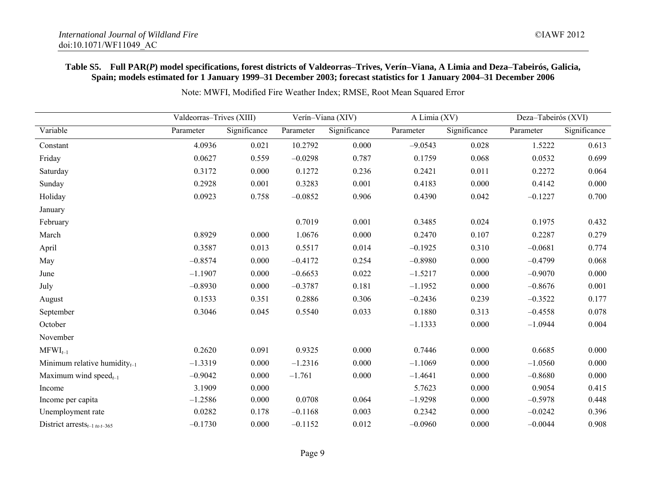# **Table S5. Full PAR(***P***) model specifications, forest districts of Valdeorras–Trives, Verín–Viana, A Limia and Deza–Tabeirós, Galicia, Spain; models estimated for 1 January 1999–31 December 2003; forecast statistics for 1 January 2004–31 December 2006**

|                                          |           | Valdeorras-Trives (XIII) |           | Verín-Viana (XIV) |           | $\overline{A}$ Limia (XV) |           | Deza-Tabeirós (XVI) |  |
|------------------------------------------|-----------|--------------------------|-----------|-------------------|-----------|---------------------------|-----------|---------------------|--|
| Variable                                 | Parameter | Significance             | Parameter | Significance      | Parameter | Significance              | Parameter | Significance        |  |
| Constant                                 | 4.0936    | 0.021                    | 10.2792   | 0.000             | $-9.0543$ | 0.028                     | 1.5222    | 0.613               |  |
| Friday                                   | 0.0627    | 0.559                    | $-0.0298$ | 0.787             | 0.1759    | 0.068                     | 0.0532    | 0.699               |  |
| Saturday                                 | 0.3172    | 0.000                    | 0.1272    | 0.236             | 0.2421    | 0.011                     | 0.2272    | 0.064               |  |
| Sunday                                   | 0.2928    | 0.001                    | 0.3283    | 0.001             | 0.4183    | 0.000                     | 0.4142    | 0.000               |  |
| Holiday                                  | 0.0923    | 0.758                    | $-0.0852$ | 0.906             | 0.4390    | 0.042                     | $-0.1227$ | 0.700               |  |
| January                                  |           |                          |           |                   |           |                           |           |                     |  |
| February                                 |           |                          | 0.7019    | 0.001             | 0.3485    | 0.024                     | 0.1975    | 0.432               |  |
| March                                    | 0.8929    | 0.000                    | 1.0676    | 0.000             | 0.2470    | 0.107                     | 0.2287    | 0.279               |  |
| April                                    | 0.3587    | 0.013                    | 0.5517    | 0.014             | $-0.1925$ | 0.310                     | $-0.0681$ | 0.774               |  |
| May                                      | $-0.8574$ | 0.000                    | $-0.4172$ | 0.254             | $-0.8980$ | 0.000                     | $-0.4799$ | 0.068               |  |
| June                                     | $-1.1907$ | 0.000                    | $-0.6653$ | 0.022             | $-1.5217$ | 0.000                     | $-0.9070$ | 0.000               |  |
| July                                     | $-0.8930$ | 0.000                    | $-0.3787$ | 0.181             | $-1.1952$ | 0.000                     | $-0.8676$ | 0.001               |  |
| August                                   | 0.1533    | 0.351                    | 0.2886    | 0.306             | $-0.2436$ | 0.239                     | $-0.3522$ | 0.177               |  |
| September                                | 0.3046    | 0.045                    | 0.5540    | 0.033             | 0.1880    | 0.313                     | $-0.4558$ | 0.078               |  |
| October                                  |           |                          |           |                   | $-1.1333$ | 0.000                     | $-1.0944$ | 0.004               |  |
| November                                 |           |                          |           |                   |           |                           |           |                     |  |
| $MFWI_{t-1}$                             | 0.2620    | 0.091                    | 0.9325    | 0.000             | 0.7446    | 0.000                     | 0.6685    | 0.000               |  |
| Minimum relative humidity $_{t-1}$       | $-1.3319$ | 0.000                    | $-1.2316$ | 0.000             | $-1.1069$ | 0.000                     | $-1.0560$ | 0.000               |  |
| Maximum wind speed $_{t-1}$              | $-0.9042$ | 0.000                    | $-1.761$  | 0.000             | $-1.4641$ | 0.000                     | $-0.8680$ | 0.000               |  |
| Income                                   | 3.1909    | 0.000                    |           |                   | 5.7623    | 0.000                     | 0.9054    | 0.415               |  |
| Income per capita                        | $-1.2586$ | 0.000                    | 0.0708    | 0.064             | $-1.9298$ | 0.000                     | $-0.5978$ | 0.448               |  |
| Unemployment rate                        | 0.0282    | 0.178                    | $-0.1168$ | 0.003             | 0.2342    | 0.000                     | $-0.0242$ | 0.396               |  |
| District arrests <sub>t-1 to t-365</sub> | $-0.1730$ | 0.000                    | $-0.1152$ | 0.012             | $-0.0960$ | 0.000                     | $-0.0044$ | 0.908               |  |

Note: MWFI, Modified Fire Weather Index; RMSE, Root Mean Squared Error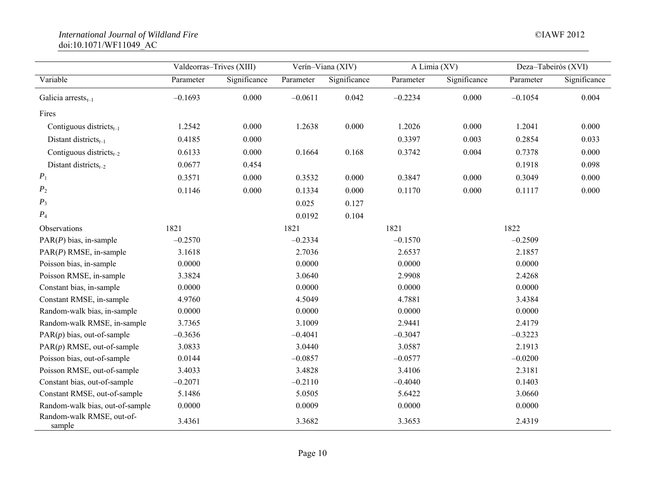|                                     | Valdeorras-Trives (XIII) |              | Verín-Viana (XIV) |              | A Limia (XV) |              | Deza-Tabeirós (XVI) |              |
|-------------------------------------|--------------------------|--------------|-------------------|--------------|--------------|--------------|---------------------|--------------|
| Variable                            | Parameter                | Significance | Parameter         | Significance | Parameter    | Significance | Parameter           | Significance |
| Galicia arrests $_{\tau-1}$         | $-0.1693$                | 0.000        | $-0.0611$         | 0.042        | $-0.2234$    | 0.000        | $-0.1054$           | 0.004        |
| Fires                               |                          |              |                   |              |              |              |                     |              |
| Contiguous districts $_{t-1}$       | 1.2542                   | 0.000        | 1.2638            | 0.000        | 1.2026       | 0.000        | 1.2041              | 0.000        |
| Distant districts $_{t-1}$          | 0.4185                   | 0.000        |                   |              | 0.3397       | 0.003        | 0.2854              | 0.033        |
| Contiguous districts $_{t-2}$       | 0.6133                   | 0.000        | 0.1664            | 0.168        | 0.3742       | 0.004        | 0.7378              | 0.000        |
| Distant districts $_{t-2}$          | 0.0677                   | 0.454        |                   |              |              |              | 0.1918              | 0.098        |
| $P_1$                               | 0.3571                   | 0.000        | 0.3532            | 0.000        | 0.3847       | 0.000        | 0.3049              | 0.000        |
| P <sub>2</sub>                      | 0.1146                   | 0.000        | 0.1334            | 0.000        | 0.1170       | 0.000        | 0.1117              | 0.000        |
| $P_3$                               |                          |              | 0.025             | 0.127        |              |              |                     |              |
| $P_4$                               |                          |              | 0.0192            | 0.104        |              |              |                     |              |
| Observations                        | 1821                     |              | 1821              |              | 1821         |              | 1822                |              |
| $PAR(P)$ bias, in-sample            | $-0.2570$                |              | $-0.2334$         |              | $-0.1570$    |              | $-0.2509$           |              |
| $PAR(P)$ RMSE, in-sample            | 3.1618                   |              | 2.7036            |              | 2.6537       |              | 2.1857              |              |
| Poisson bias, in-sample             | 0.0000                   |              | 0.0000            |              | 0.0000       |              | 0.0000              |              |
| Poisson RMSE, in-sample             | 3.3824                   |              | 3.0640            |              | 2.9908       |              | 2.4268              |              |
| Constant bias, in-sample            | 0.0000                   |              | 0.0000            |              | 0.0000       |              | 0.0000              |              |
| Constant RMSE, in-sample            | 4.9760                   |              | 4.5049            |              | 4.7881       |              | 3.4384              |              |
| Random-walk bias, in-sample         | 0.0000                   |              | 0.0000            |              | 0.0000       |              | 0.0000              |              |
| Random-walk RMSE, in-sample         | 3.7365                   |              | 3.1009            |              | 2.9441       |              | 2.4179              |              |
| $PAR(p)$ bias, out-of-sample        | $-0.3636$                |              | $-0.4041$         |              | $-0.3047$    |              | $-0.3223$           |              |
| $PAR(p)$ RMSE, out-of-sample        | 3.0833                   |              | 3.0440            |              | 3.0587       |              | 2.1913              |              |
| Poisson bias, out-of-sample         | 0.0144                   |              | $-0.0857$         |              | $-0.0577$    |              | $-0.0200$           |              |
| Poisson RMSE, out-of-sample         | 3.4033                   |              | 3.4828            |              | 3.4106       |              | 2.3181              |              |
| Constant bias, out-of-sample        | $-0.2071$                |              | $-0.2110$         |              | $-0.4040$    |              | 0.1403              |              |
| Constant RMSE, out-of-sample        | 5.1486                   |              | 5.0505            |              | 5.6422       |              | 3.0660              |              |
| Random-walk bias, out-of-sample     | 0.0000                   |              | 0.0009            |              | 0.0000       |              | 0.0000              |              |
| Random-walk RMSE, out-of-<br>sample | 3.4361                   |              | 3.3682            |              | 3.3653       |              | 2.4319              |              |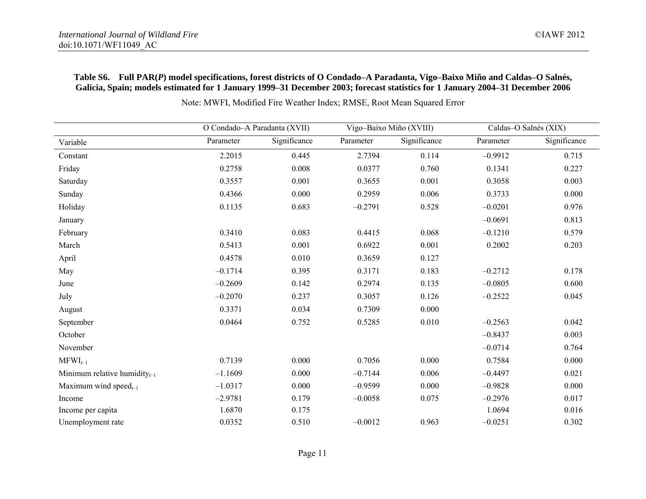# **Table S6. Full PAR(***P***) model specifications, forest districts of O Condado–A Paradanta, Vigo–Baixo Miño and Caldas–O Salnés, Galicia, Spain; models estimated for 1 January 1999–31 December 2003; forecast statistics for 1 January 2004–31 December 2006**

|                                    | O Condado-A Paradanta (XVII) |              |           | Vigo-Baixo Miño (XVIII) | Caldas-O Salnés (XIX) |              |
|------------------------------------|------------------------------|--------------|-----------|-------------------------|-----------------------|--------------|
| Variable                           | Parameter                    | Significance | Parameter | Significance            | Parameter             | Significance |
| Constant                           | 2.2015                       | 0.445        | 2.7394    | 0.114                   | $-0.9912$             | 0.715        |
| Friday                             | 0.2758                       | 0.008        | 0.0377    | 0.760                   | 0.1341                | 0.227        |
| Saturday                           | 0.3557                       | 0.001        | 0.3655    | 0.001                   | 0.3058                | 0.003        |
| Sunday                             | 0.4366                       | 0.000        | 0.2959    | 0.006                   | 0.3733                | 0.000        |
| Holiday                            | 0.1135                       | 0.683        | $-0.2791$ | 0.528                   | $-0.0201$             | 0.976        |
| January                            |                              |              |           |                         | $-0.0691$             | 0.813        |
| February                           | 0.3410                       | 0.083        | 0.4415    | 0.068                   | $-0.1210$             | 0.579        |
| March                              | 0.5413                       | 0.001        | 0.6922    | 0.001                   | 0.2002                | 0.203        |
| April                              | 0.4578                       | 0.010        | 0.3659    | 0.127                   |                       |              |
| May                                | $-0.1714$                    | 0.395        | 0.3171    | 0.183                   | $-0.2712$             | 0.178        |
| June                               | $-0.2609$                    | 0.142        | 0.2974    | 0.135                   | $-0.0805$             | 0.600        |
| July                               | $-0.2070$                    | 0.237        | 0.3057    | 0.126                   | $-0.2522$             | 0.045        |
| August                             | 0.3371                       | 0.034        | 0.7309    | 0.000                   |                       |              |
| September                          | 0.0464                       | 0.752        | 0.5285    | 0.010                   | $-0.2563$             | 0.042        |
| October                            |                              |              |           |                         | $-0.8437$             | 0.003        |
| November                           |                              |              |           |                         | $-0.0714$             | 0.764        |
| $MFWI_{t-1}$                       | 0.7139                       | 0.000        | 0.7056    | 0.000                   | 0.7584                | 0.000        |
| Minimum relative humidity $_{t-1}$ | $-1.1609$                    | 0.000        | $-0.7144$ | 0.006                   | $-0.4497$             | 0.021        |
| Maximum wind $speed_{t-1}$         | $-1.0317$                    | 0.000        | $-0.9599$ | 0.000                   | $-0.9828$             | 0.000        |
| Income                             | $-2.9781$                    | 0.179        | $-0.0058$ | 0.075                   | $-0.2976$             | 0.017        |
| Income per capita                  | 1.6870                       | 0.175        |           |                         | 1.0694                | 0.016        |
| Unemployment rate                  | 0.0352                       | 0.510        | $-0.0012$ | 0.963                   | $-0.0251$             | 0.302        |

Note: MWFI, Modified Fire Weather Index; RMSE, Root Mean Squared Error